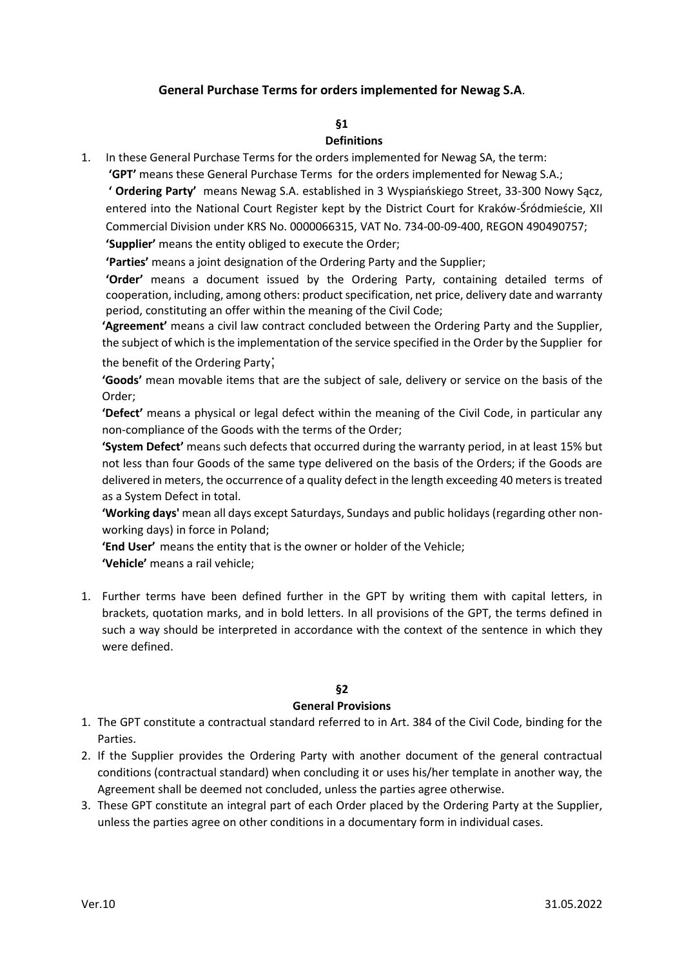### **General Purchase Terms for orders implemented for Newag S.A**.

## **§1**

### **Definitions**

1. In these General Purchase Terms for the orders implemented for Newag SA, the term:

**'GPT'** means these General Purchase Terms for the orders implemented for Newag S.A.; **' Ordering Party'** means Newag S.A. established in 3 Wyspiańskiego Street, 33-300 Nowy Sącz, entered into the National Court Register kept by the District Court for Kraków-Śródmieście, XII Commercial Division under KRS No. 0000066315, VAT No. 734-00-09-400, REGON 490490757; **'Supplier'** means the entity obliged to execute the Order;

**'Parties'** means a joint designation of the Ordering Party and the Supplier;

**'Order'** means a document issued by the Ordering Party, containing detailed terms of cooperation, including, among others: product specification, net price, delivery date and warranty period, constituting an offer within the meaning of the Civil Code;

**'Agreement'** means a civil law contract concluded between the Ordering Party and the Supplier, the subject of which is the implementation of the service specified in the Order by the Supplier for

the benefit of the Ordering Party;

**'Goods'** mean movable items that are the subject of sale, delivery or service on the basis of the Order;

**'Defect'** means a physical or legal defect within the meaning of the Civil Code, in particular any non-compliance of the Goods with the terms of the Order;

**'System Defect'** means such defects that occurred during the warranty period, in at least 15% but not less than four Goods of the same type delivered on the basis of the Orders; if the Goods are delivered in meters, the occurrence of a quality defect in the length exceeding 40 meters is treated as a System Defect in total.

**'Working days'** mean all days except Saturdays, Sundays and public holidays (regarding other nonworking days) in force in Poland;

**'End User'** means the entity that is the owner or holder of the Vehicle; **'Vehicle'** means a rail vehicle;

1. Further terms have been defined further in the GPT by writing them with capital letters, in brackets, quotation marks, and in bold letters. In all provisions of the GPT, the terms defined in such a way should be interpreted in accordance with the context of the sentence in which they were defined.

#### **§2**

#### **General Provisions**

- 1. The GPT constitute a contractual standard referred to in Art. 384 of the Civil Code, binding for the Parties.
- 2. If the Supplier provides the Ordering Party with another document of the general contractual conditions (contractual standard) when concluding it or uses his/her template in another way, the Agreement shall be deemed not concluded, unless the parties agree otherwise.
- 3. These GPT constitute an integral part of each Order placed by the Ordering Party at the Supplier, unless the parties agree on other conditions in a documentary form in individual cases.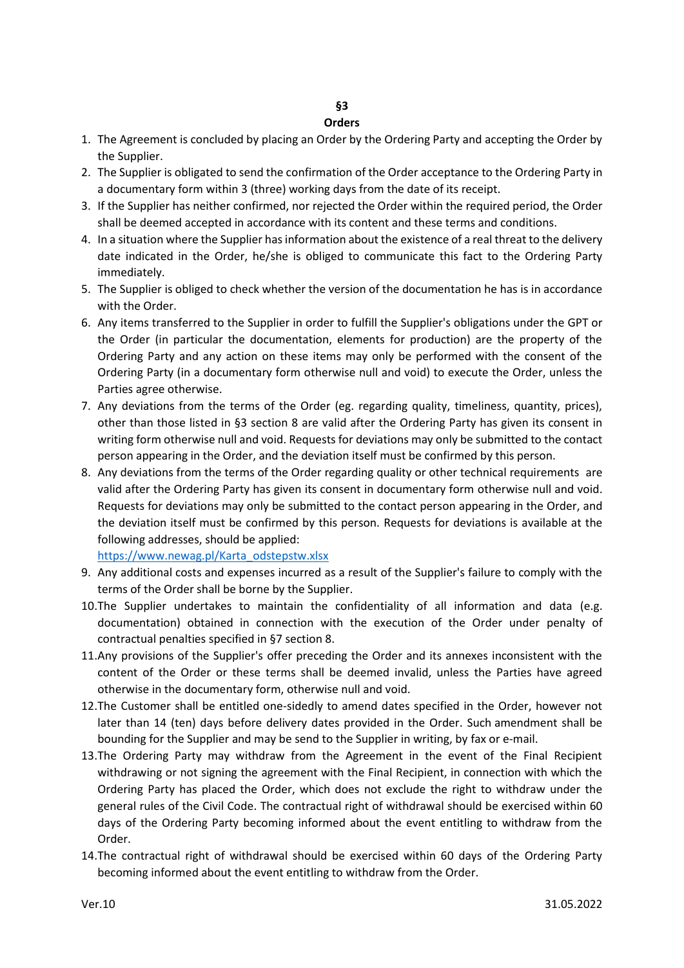#### **Orders**

- 1. The Agreement is concluded by placing an Order by the Ordering Party and accepting the Order by the Supplier.
- 2. The Supplier is obligated to send the confirmation of the Order acceptance to the Ordering Party in a documentary form within 3 (three) working days from the date of its receipt.
- 3. If the Supplier has neither confirmed, nor rejected the Order within the required period, the Order shall be deemed accepted in accordance with its content and these terms and conditions.
- 4. In a situation where the Supplier has information about the existence of a real threat to the delivery date indicated in the Order, he/she is obliged to communicate this fact to the Ordering Party immediately.
- 5. The Supplier is obliged to check whether the version of the documentation he has is in accordance with the Order.
- 6. Any items transferred to the Supplier in order to fulfill the Supplier's obligations under the GPT or the Order (in particular the documentation, elements for production) are the property of the Ordering Party and any action on these items may only be performed with the consent of the Ordering Party (in a documentary form otherwise null and void) to execute the Order, unless the Parties agree otherwise.
- 7. Any deviations from the terms of the Order (eg. regarding quality, timeliness, quantity, prices), other than those listed in §3 section 8 are valid after the Ordering Party has given its consent in writing form otherwise null and void. Requests for deviations may only be submitted to the contact person appearing in the Order, and the deviation itself must be confirmed by this person.
- 8. Any deviations from the terms of the Order regarding quality or other technical requirements are valid after the Ordering Party has given its consent in documentary form otherwise null and void. Requests for deviations may only be submitted to the contact person appearing in the Order, and the deviation itself must be confirmed by this person. Requests for deviations is available at the following addresses, should be applied:

[https://www.newag.pl/Karta\\_odstepstw.xlsx](https://www.newag.pl/Karta_odstepstw.xlsx)

- 9. Any additional costs and expenses incurred as a result of the Supplier's failure to comply with the terms of the Order shall be borne by the Supplier.
- 10.The Supplier undertakes to maintain the confidentiality of all information and data (e.g. documentation) obtained in connection with the execution of the Order under penalty of contractual penalties specified in §7 section 8.
- 11.Any provisions of the Supplier's offer preceding the Order and its annexes inconsistent with the content of the Order or these terms shall be deemed invalid, unless the Parties have agreed otherwise in the documentary form, otherwise null and void.
- 12.The Customer shall be entitled one-sidedly to amend dates specified in the Order, however not later than 14 (ten) days before delivery dates provided in the Order. Such amendment shall be bounding for the Supplier and may be send to the Supplier in writing, by fax or e-mail.
- 13.The Ordering Party may withdraw from the Agreement in the event of the Final Recipient withdrawing or not signing the agreement with the Final Recipient, in connection with which the Ordering Party has placed the Order, which does not exclude the right to withdraw under the general rules of the Civil Code. The contractual right of withdrawal should be exercised within 60 days of the Ordering Party becoming informed about the event entitling to withdraw from the Order.
- 14.The contractual right of withdrawal should be exercised within 60 days of the Ordering Party becoming informed about the event entitling to withdraw from the Order.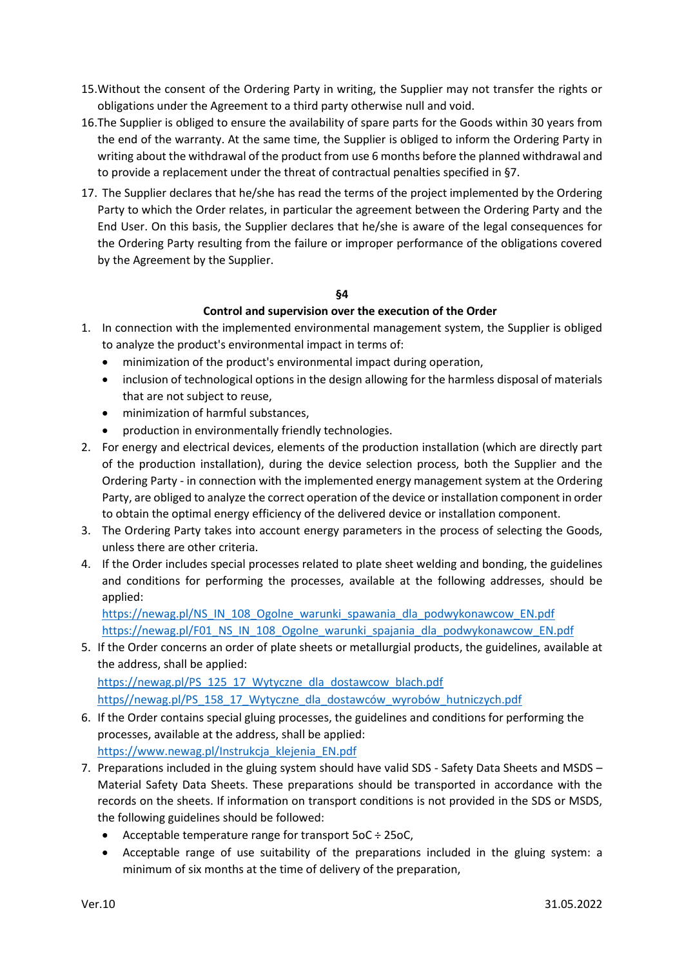- 15.Without the consent of the Ordering Party in writing, the Supplier may not transfer the rights or obligations under the Agreement to a third party otherwise null and void.
- 16.The Supplier is obliged to ensure the availability of spare parts for the Goods within 30 years from the end of the warranty. At the same time, the Supplier is obliged to inform the Ordering Party in writing about the withdrawal of the product from use 6 months before the planned withdrawal and to provide a replacement under the threat of contractual penalties specified in §7.
- 17. The Supplier declares that he/she has read the terms of the project implemented by the Ordering Party to which the Order relates, in particular the agreement between the Ordering Party and the End User. On this basis, the Supplier declares that he/she is aware of the legal consequences for the Ordering Party resulting from the failure or improper performance of the obligations covered by the Agreement by the Supplier.

### **§4**

### **Control and supervision over the execution of the Order**

- 1. In connection with the implemented environmental management system, the Supplier is obliged to analyze the product's environmental impact in terms of:
	- minimization of the product's environmental impact during operation,
	- inclusion of technological options in the design allowing for the harmless disposal of materials that are not subject to reuse,
	- minimization of harmful substances,
	- production in environmentally friendly technologies.
- 2. For energy and electrical devices, elements of the production installation (which are directly part of the production installation), during the device selection process, both the Supplier and the Ordering Party - in connection with the implemented energy management system at the Ordering Party, are obliged to analyze the correct operation of the device or installation component in order to obtain the optimal energy efficiency of the delivered device or installation component.
- 3. The Ordering Party takes into account energy parameters in the process of selecting the Goods, unless there are other criteria.
- 4. If the Order includes special processes related to plate sheet welding and bonding, the guidelines and conditions for performing the processes, available at the following addresses, should be applied:

[https://newag.pl/NS\\_IN\\_108\\_Ogolne\\_warunki\\_spawania\\_dla\\_podwykonawcow\\_EN.pdf](https://newag.pl/NS_IN_108_Ogolne_warunki_spawania_dla_podwykonawcow_EN.pdf) [https://newag.pl/F01\\_NS\\_IN\\_108\\_Ogolne\\_warunki\\_spajania\\_dla\\_podwykonawcow\\_EN.pdf](https://newag.pl/F01_NS_IN_108_Ogolne_warunki_spajania_dla_podwykonawcow_EN.pdf)

5. If the Order concerns an order of plate sheets or metallurgial products, the guidelines, available at the address, shall be applied: [https://newag.pl/PS\\_125\\_17\\_Wytyczne\\_dla\\_dostawcow\\_blach.pdf](https://newag.pl/PS_125_17_Wytyczne_dla_dostawcow_blach.pdf)

https//newag.pl/PS\_158\_17\_Wytyczne\_dla\_dostawców\_wyrobów\_hutniczych.pdf

- 6. If the Order contains special gluing processes, the guidelines and conditions for performing the processes, available at the address, shall be applied: [https://www.newag.pl/Instrukcja\\_klejenia\\_EN.pdf](https://www.newag.pl/Instrukcja_klejenia_EN.pdf)
- 7. Preparations included in the gluing system should have valid SDS Safety Data Sheets and MSDS Material Safety Data Sheets. These preparations should be transported in accordance with the records on the sheets. If information on transport conditions is not provided in the SDS or MSDS, the following guidelines should be followed:
	- Acceptable temperature range for transport 5oC ÷ 25oC,
	- Acceptable range of use suitability of the preparations included in the gluing system: a minimum of six months at the time of delivery of the preparation,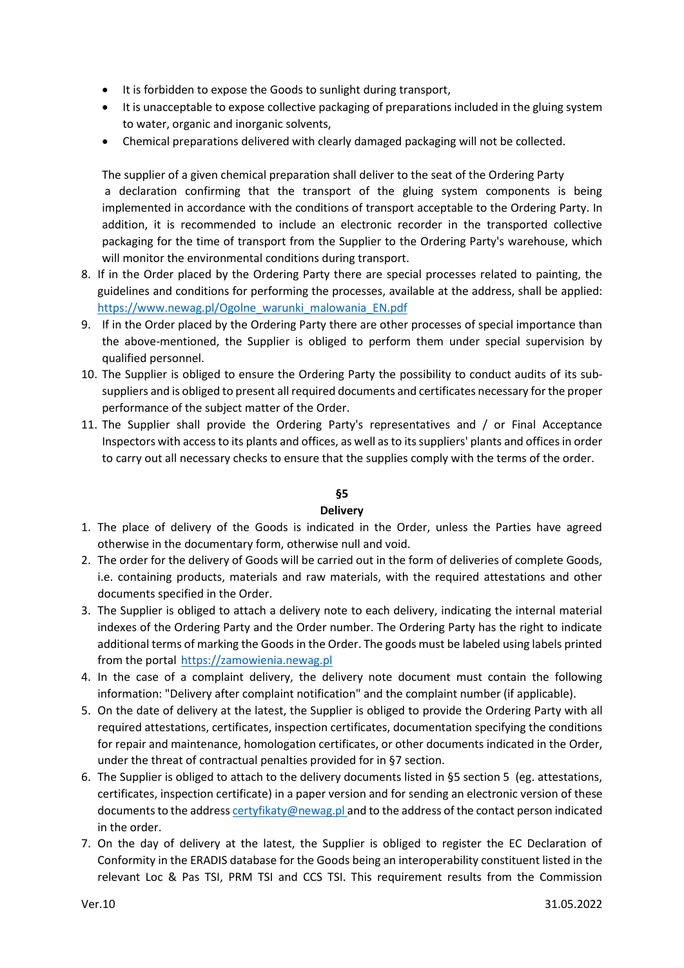- It is forbidden to expose the Goods to sunlight during transport,
- It is unacceptable to expose collective packaging of preparations included in the gluing system to water, organic and inorganic solvents,
- Chemical preparations delivered with clearly damaged packaging will not be collected.

The supplier of a given chemical preparation shall deliver to the seat of the Ordering Party a declaration confirming that the transport of the gluing system components is being implemented in accordance with the conditions of transport acceptable to the Ordering Party. In addition, it is recommended to include an electronic recorder in the transported collective packaging for the time of transport from the Supplier to the Ordering Party's warehouse, which will monitor the environmental conditions during transport.

- 8. If in the Order placed by the Ordering Party there are special processes related to painting, the guidelines and conditions for performing the processes, available at the address, shall be applied: [https://www.newag.pl/Ogolne\\_warunki\\_malowania\\_EN.pdf](https://www.newag.pl/Ogolne_warunki_malowania_EN.pdf)
- 9. If in the Order placed by the Ordering Party there are other processes of special importance than the above-mentioned, the Supplier is obliged to perform them under special supervision by qualified personnel.
- 10. The Supplier is obliged to ensure the Ordering Party the possibility to conduct audits of its subsuppliers and is obliged to present all required documents and certificates necessary for the proper performance of the subject matter of the Order.
- 11. The Supplier shall provide the Ordering Party's representatives and / or Final Acceptance Inspectors with access to its plants and offices, as well as to its suppliers' plants and offices in order to carry out all necessary checks to ensure that the supplies comply with the terms of the order.

# **§5**

### **Delivery**

- 1. The place of delivery of the Goods is indicated in the Order, unless the Parties have agreed otherwise in the documentary form, otherwise null and void.
- 2. The order for the delivery of Goods will be carried out in the form of deliveries of complete Goods, i.e. containing products, materials and raw materials, with the required attestations and other documents specified in the Order.
- 3. The Supplier is obliged to attach a delivery note to each delivery, indicating the internal material indexes of the Ordering Party and the Order number. The Ordering Party has the right to indicate additional terms of marking the Goods in the Order. The goods must be labeled using labels printed from the portal [https://zamowienia.newag.pl](https://zamowienia.newag.pl/)
- 4. In the case of a complaint delivery, the delivery note document must contain the following information: "Delivery after complaint notification" and the complaint number (if applicable).
- 5. On the date of delivery at the latest, the Supplier is obliged to provide the Ordering Party with all required attestations, certificates, inspection certificates, documentation specifying the conditions for repair and maintenance, homologation certificates, or other documents indicated in the Order, under the threat of contractual penalties provided for in §7 section.
- 6. The Supplier is obliged to attach to the delivery documents listed in §5 section 5 (eg. attestations, certificates, inspection certificate) in a paper version and for sending an electronic version of these documents to the addres[s certyfikaty@newag.pl](mailto:certyfikaty@newag.pl) and to the address of the contact person indicated in the order.
- 7. On the day of delivery at the latest, the Supplier is obliged to register the EC Declaration of Conformity in the ERADIS database for the Goods being an interoperability constituent listed in the relevant Loc & Pas TSI, PRM TSI and CCS TSI. This requirement results from the Commission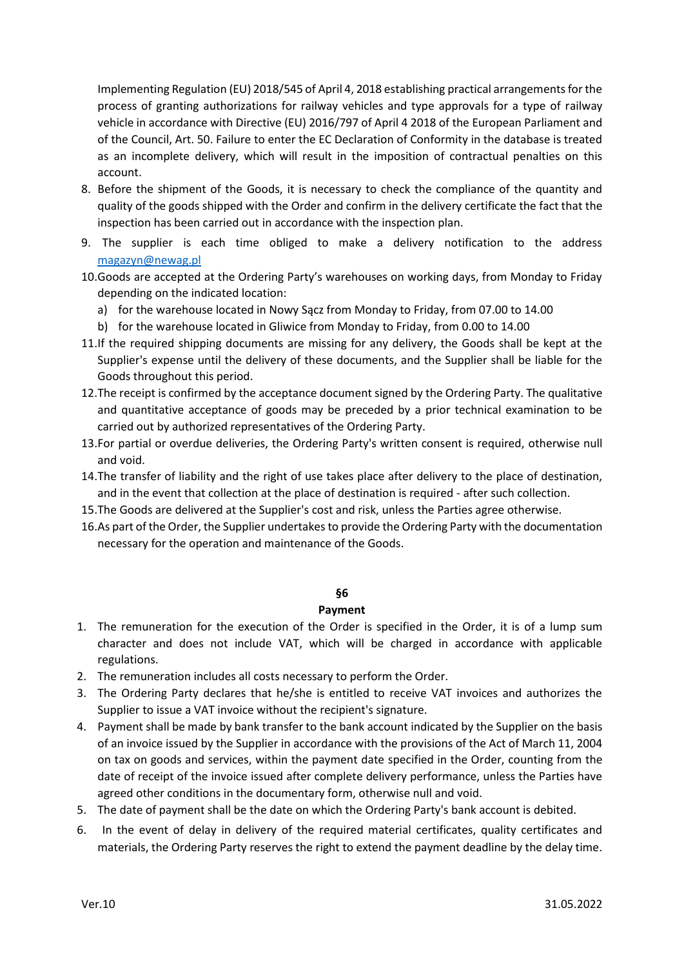Implementing Regulation (EU) 2018/545 of April 4, 2018 establishing practical arrangements for the process of granting authorizations for railway vehicles and type approvals for a type of railway vehicle in accordance with Directive (EU) 2016/797 of April 4 2018 of the European Parliament and of the Council, Art. 50. Failure to enter the EC Declaration of Conformity in the database is treated as an incomplete delivery, which will result in the imposition of contractual penalties on this account.

- 8. Before the shipment of the Goods, it is necessary to check the compliance of the quantity and quality of the goods shipped with the Order and confirm in the delivery certificate the fact that the inspection has been carried out in accordance with the inspection plan.
- 9. The supplier is each time obliged to make a delivery notification to the address [magazyn@newag.pl](mailto:magazyn@newag.pl)
- 10.Goods are accepted at the Ordering Party's warehouses on working days, from Monday to Friday depending on the indicated location:
	- a) for the warehouse located in Nowy Sącz from Monday to Friday, from 07.00 to 14.00
	- b) for the warehouse located in Gliwice from Monday to Friday, from 0.00 to 14.00
- 11.If the required shipping documents are missing for any delivery, the Goods shall be kept at the Supplier's expense until the delivery of these documents, and the Supplier shall be liable for the Goods throughout this period.
- 12.The receipt is confirmed by the acceptance document signed by the Ordering Party. The qualitative and quantitative acceptance of goods may be preceded by a prior technical examination to be carried out by authorized representatives of the Ordering Party.
- 13.For partial or overdue deliveries, the Ordering Party's written consent is required, otherwise null and void.
- 14.The transfer of liability and the right of use takes place after delivery to the place of destination, and in the event that collection at the place of destination is required - after such collection.
- 15.The Goods are delivered at the Supplier's cost and risk, unless the Parties agree otherwise.
- 16.As part of the Order, the Supplier undertakes to provide the Ordering Party with the documentation necessary for the operation and maintenance of the Goods.

#### **§6**

#### **Payment**

- 1. The remuneration for the execution of the Order is specified in the Order, it is of a lump sum character and does not include VAT, which will be charged in accordance with applicable regulations.
- 2. The remuneration includes all costs necessary to perform the Order.
- 3. The Ordering Party declares that he/she is entitled to receive VAT invoices and authorizes the Supplier to issue a VAT invoice without the recipient's signature.
- 4. Payment shall be made by bank transfer to the bank account indicated by the Supplier on the basis of an invoice issued by the Supplier in accordance with the provisions of the Act of March 11, 2004 on tax on goods and services, within the payment date specified in the Order, counting from the date of receipt of the invoice issued after complete delivery performance, unless the Parties have agreed other conditions in the documentary form, otherwise null and void.
- 5. The date of payment shall be the date on which the Ordering Party's bank account is debited.
- 6. In the event of delay in delivery of the required material certificates, quality certificates and materials, the Ordering Party reserves the right to extend the payment deadline by the delay time.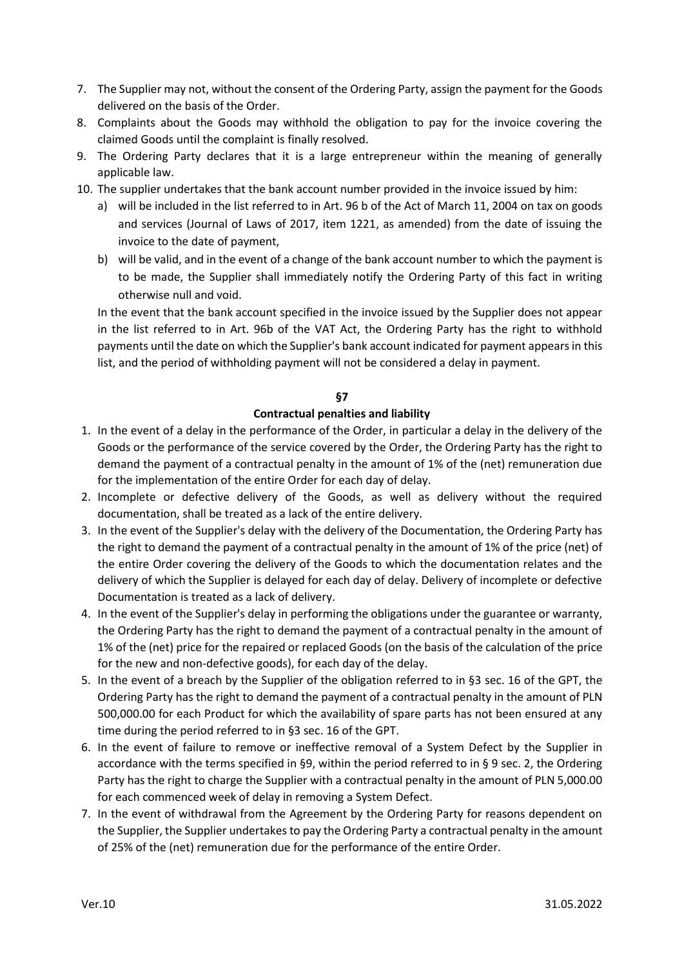- 7. The Supplier may not, without the consent of the Ordering Party, assign the payment for the Goods delivered on the basis of the Order.
- 8. Complaints about the Goods may withhold the obligation to pay for the invoice covering the claimed Goods until the complaint is finally resolved.
- 9. The Ordering Party declares that it is a large entrepreneur within the meaning of generally applicable law.
- 10. The supplier undertakes that the bank account number provided in the invoice issued by him:
	- a) will be included in the list referred to in Art. 96 b of the Act of March 11, 2004 on tax on goods and services (Journal of Laws of 2017, item 1221, as amended) from the date of issuing the invoice to the date of payment,
	- b) will be valid, and in the event of a change of the bank account number to which the payment is to be made, the Supplier shall immediately notify the Ordering Party of this fact in writing otherwise null and void.

In the event that the bank account specified in the invoice issued by the Supplier does not appear in the list referred to in Art. 96b of the VAT Act, the Ordering Party has the right to withhold payments until the date on which the Supplier's bank account indicated for payment appears in this list, and the period of withholding payment will not be considered a delay in payment.

### **§7**

### **Contractual penalties and liability**

- 1. In the event of a delay in the performance of the Order, in particular a delay in the delivery of the Goods or the performance of the service covered by the Order, the Ordering Party has the right to demand the payment of a contractual penalty in the amount of 1% of the (net) remuneration due for the implementation of the entire Order for each day of delay.
- 2. Incomplete or defective delivery of the Goods, as well as delivery without the required documentation, shall be treated as a lack of the entire delivery.
- 3. In the event of the Supplier's delay with the delivery of the Documentation, the Ordering Party has the right to demand the payment of a contractual penalty in the amount of 1% of the price (net) of the entire Order covering the delivery of the Goods to which the documentation relates and the delivery of which the Supplier is delayed for each day of delay. Delivery of incomplete or defective Documentation is treated as a lack of delivery.
- 4. In the event of the Supplier's delay in performing the obligations under the guarantee or warranty, the Ordering Party has the right to demand the payment of a contractual penalty in the amount of 1% of the (net) price for the repaired or replaced Goods (on the basis of the calculation of the price for the new and non-defective goods), for each day of the delay.
- 5. In the event of a breach by the Supplier of the obligation referred to in §3 sec. 16 of the GPT, the Ordering Party has the right to demand the payment of a contractual penalty in the amount of PLN 500,000.00 for each Product for which the availability of spare parts has not been ensured at any time during the period referred to in §3 sec. 16 of the GPT.
- 6. In the event of failure to remove or ineffective removal of a System Defect by the Supplier in accordance with the terms specified in §9, within the period referred to in § 9 sec. 2, the Ordering Party has the right to charge the Supplier with a contractual penalty in the amount of PLN 5,000.00 for each commenced week of delay in removing a System Defect.
- 7. In the event of withdrawal from the Agreement by the Ordering Party for reasons dependent on the Supplier, the Supplier undertakes to pay the Ordering Party a contractual penalty in the amount of 25% of the (net) remuneration due for the performance of the entire Order.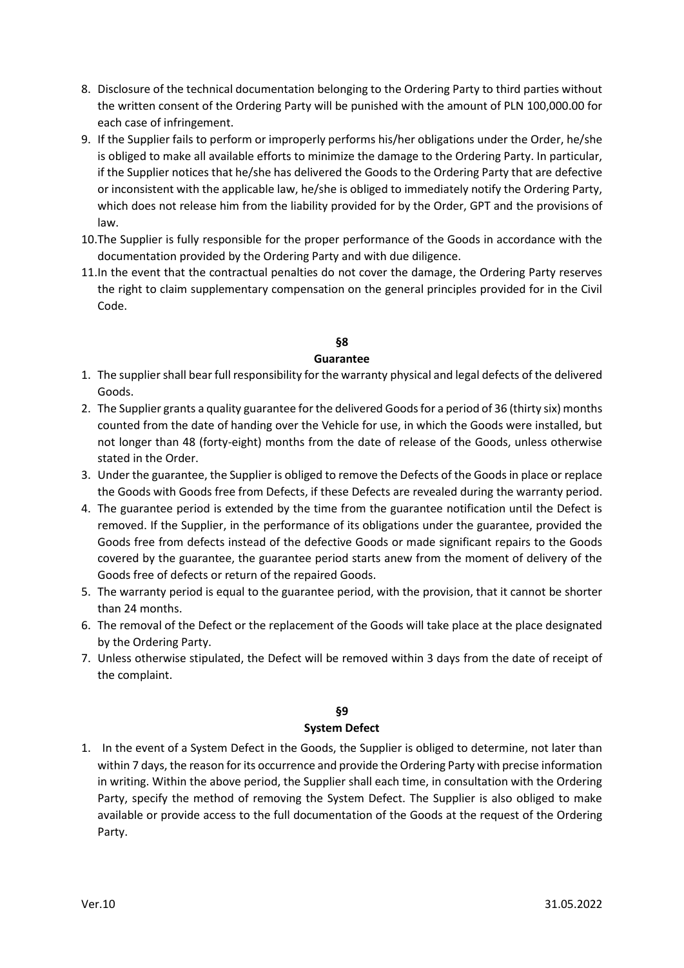- 8. Disclosure of the technical documentation belonging to the Ordering Party to third parties without the written consent of the Ordering Party will be punished with the amount of PLN 100,000.00 for each case of infringement.
- 9. If the Supplier fails to perform or improperly performs his/her obligations under the Order, he/she is obliged to make all available efforts to minimize the damage to the Ordering Party. In particular, if the Supplier notices that he/she has delivered the Goods to the Ordering Party that are defective or inconsistent with the applicable law, he/she is obliged to immediately notify the Ordering Party, which does not release him from the liability provided for by the Order, GPT and the provisions of law.
- 10.The Supplier is fully responsible for the proper performance of the Goods in accordance with the documentation provided by the Ordering Party and with due diligence.
- 11.In the event that the contractual penalties do not cover the damage, the Ordering Party reserves the right to claim supplementary compensation on the general principles provided for in the Civil Code.

# **§8**

### **Guarantee**

- 1. The supplier shall bear full responsibility for the warranty physical and legal defects of the delivered Goods.
- 2. The Supplier grants a quality guarantee for the delivered Goods for a period of 36 (thirty six) months counted from the date of handing over the Vehicle for use, in which the Goods were installed, but not longer than 48 (forty-eight) months from the date of release of the Goods, unless otherwise stated in the Order.
- 3. Under the guarantee, the Supplier is obliged to remove the Defects of the Goods in place or replace the Goods with Goods free from Defects, if these Defects are revealed during the warranty period.
- 4. The guarantee period is extended by the time from the guarantee notification until the Defect is removed. If the Supplier, in the performance of its obligations under the guarantee, provided the Goods free from defects instead of the defective Goods or made significant repairs to the Goods covered by the guarantee, the guarantee period starts anew from the moment of delivery of the Goods free of defects or return of the repaired Goods.
- 5. The warranty period is equal to the guarantee period, with the provision, that it cannot be shorter than 24 months.
- 6. The removal of the Defect or the replacement of the Goods will take place at the place designated by the Ordering Party.
- 7. Unless otherwise stipulated, the Defect will be removed within 3 days from the date of receipt of the complaint.

### **§9**

### **System Defect**

1. In the event of a System Defect in the Goods, the Supplier is obliged to determine, not later than within 7 days, the reason for its occurrence and provide the Ordering Party with precise information in writing. Within the above period, the Supplier shall each time, in consultation with the Ordering Party, specify the method of removing the System Defect. The Supplier is also obliged to make available or provide access to the full documentation of the Goods at the request of the Ordering Party.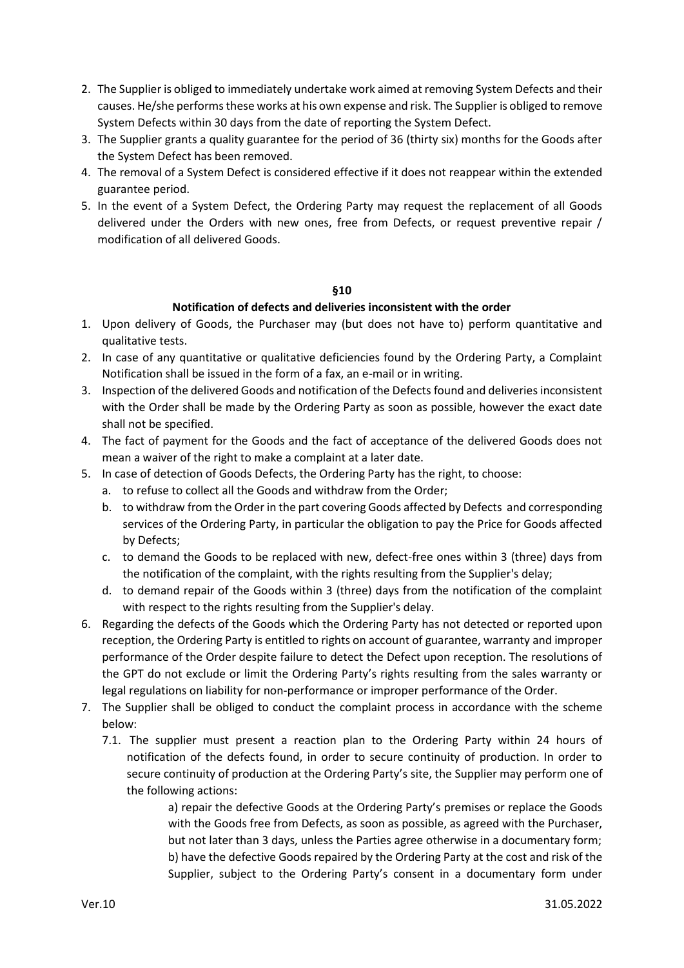- 2. The Supplier is obliged to immediately undertake work aimed at removing System Defects and their causes. He/she performs these works at his own expense and risk. The Supplier is obliged to remove System Defects within 30 days from the date of reporting the System Defect.
- 3. The Supplier grants a quality guarantee for the period of 36 (thirty six) months for the Goods after the System Defect has been removed.
- 4. The removal of a System Defect is considered effective if it does not reappear within the extended guarantee period.
- 5. In the event of a System Defect, the Ordering Party may request the replacement of all Goods delivered under the Orders with new ones, free from Defects, or request preventive repair / modification of all delivered Goods.

### **§10**

### **Notification of defects and deliveries inconsistent with the order**

- 1. Upon delivery of Goods, the Purchaser may (but does not have to) perform quantitative and qualitative tests.
- 2. In case of any quantitative or qualitative deficiencies found by the Ordering Party, a Complaint Notification shall be issued in the form of a fax, an e-mail or in writing.
- 3. Inspection of the delivered Goods and notification of the Defects found and deliveries inconsistent with the Order shall be made by the Ordering Party as soon as possible, however the exact date shall not be specified.
- 4. The fact of payment for the Goods and the fact of acceptance of the delivered Goods does not mean a waiver of the right to make a complaint at a later date.
- 5. In case of detection of Goods Defects, the Ordering Party has the right, to choose:
	- a. to refuse to collect all the Goods and withdraw from the Order;
	- b. to withdraw from the Order in the part covering Goods affected by Defects and corresponding services of the Ordering Party, in particular the obligation to pay the Price for Goods affected by Defects;
	- c. to demand the Goods to be replaced with new, defect-free ones within 3 (three) days from the notification of the complaint, with the rights resulting from the Supplier's delay;
	- d. to demand repair of the Goods within 3 (three) days from the notification of the complaint with respect to the rights resulting from the Supplier's delay.
- 6. Regarding the defects of the Goods which the Ordering Party has not detected or reported upon reception, the Ordering Party is entitled to rights on account of guarantee, warranty and improper performance of the Order despite failure to detect the Defect upon reception. The resolutions of the GPT do not exclude or limit the Ordering Party's rights resulting from the sales warranty or legal regulations on liability for non-performance or improper performance of the Order.
- 7. The Supplier shall be obliged to conduct the complaint process in accordance with the scheme below:
	- 7.1. The supplier must present a reaction plan to the Ordering Party within 24 hours of notification of the defects found, in order to secure continuity of production. In order to secure continuity of production at the Ordering Party's site, the Supplier may perform one of the following actions:

a) repair the defective Goods at the Ordering Party's premises or replace the Goods with the Goods free from Defects, as soon as possible, as agreed with the Purchaser, but not later than 3 days, unless the Parties agree otherwise in a documentary form; b) have the defective Goods repaired by the Ordering Party at the cost and risk of the Supplier, subject to the Ordering Party's consent in a documentary form under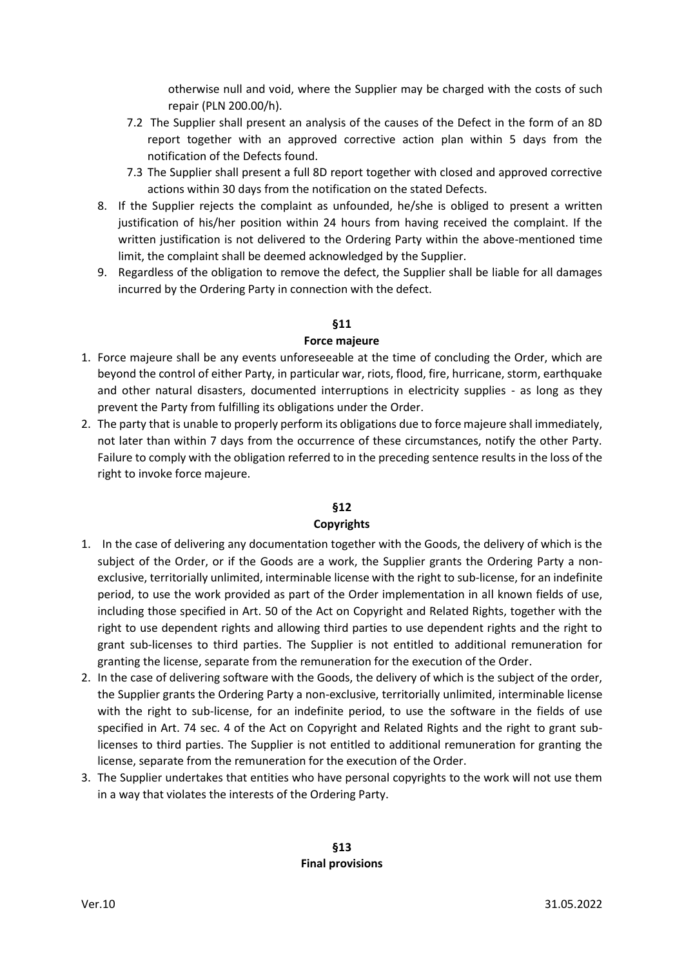otherwise null and void, where the Supplier may be charged with the costs of such repair (PLN 200.00/h).

- 7.2 The Supplier shall present an analysis of the causes of the Defect in the form of an 8D report together with an approved corrective action plan within 5 days from the notification of the Defects found.
- 7.3 The Supplier shall present a full 8D report together with closed and approved corrective actions within 30 days from the notification on the stated Defects.
- 8. If the Supplier rejects the complaint as unfounded, he/she is obliged to present a written justification of his/her position within 24 hours from having received the complaint. If the written justification is not delivered to the Ordering Party within the above-mentioned time limit, the complaint shall be deemed acknowledged by the Supplier.
- 9. Regardless of the obligation to remove the defect, the Supplier shall be liable for all damages incurred by the Ordering Party in connection with the defect.

# **§11**

### **Force majeure**

- 1. Force majeure shall be any events unforeseeable at the time of concluding the Order, which are beyond the control of either Party, in particular war, riots, flood, fire, hurricane, storm, earthquake and other natural disasters, documented interruptions in electricity supplies - as long as they prevent the Party from fulfilling its obligations under the Order.
- 2. The party that is unable to properly perform its obligations due to force majeure shall immediately, not later than within 7 days from the occurrence of these circumstances, notify the other Party. Failure to comply with the obligation referred to in the preceding sentence results in the loss of the right to invoke force majeure.

### **§12**

### **Copyrights**

- 1. In the case of delivering any documentation together with the Goods, the delivery of which is the subject of the Order, or if the Goods are a work, the Supplier grants the Ordering Party a nonexclusive, territorially unlimited, interminable license with the right to sub-license, for an indefinite period, to use the work provided as part of the Order implementation in all known fields of use, including those specified in Art. 50 of the Act on Copyright and Related Rights, together with the right to use dependent rights and allowing third parties to use dependent rights and the right to grant sub-licenses to third parties. The Supplier is not entitled to additional remuneration for granting the license, separate from the remuneration for the execution of the Order.
- 2. In the case of delivering software with the Goods, the delivery of which is the subject of the order, the Supplier grants the Ordering Party a non-exclusive, territorially unlimited, interminable license with the right to sub-license, for an indefinite period, to use the software in the fields of use specified in Art. 74 sec. 4 of the Act on Copyright and Related Rights and the right to grant sublicenses to third parties. The Supplier is not entitled to additional remuneration for granting the license, separate from the remuneration for the execution of the Order.
- 3. The Supplier undertakes that entities who have personal copyrights to the work will not use them in a way that violates the interests of the Ordering Party.